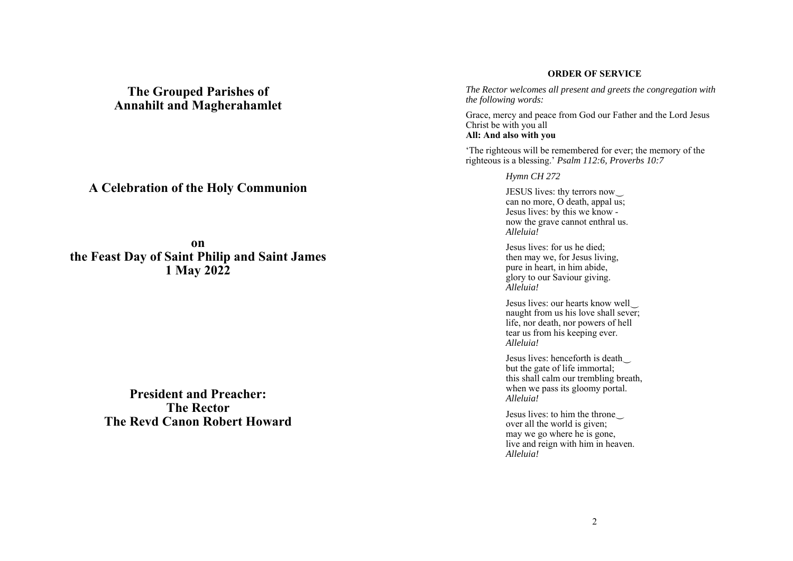# **The Grouped Parishes of Annahilt and Magherahamlet**

# **A Celebration of the Holy Communion**

**on the Feast Day of Saint Philip and Saint James 1 May 2022** 

> **President and Preacher: The Rector The Revd Canon Robert Howard**

# **ORDER OF SERVICE**

*The Rector welcomes all present and greets the congregation with the following words:* 

Grace, mercy and peace from God our Father and the Lord Jesus Christ be with you all **All: And also with you** 

'The righteous will be remembered for ever; the memory of the righteous is a blessing.' *Psalm 112:6, Proverbs 10:7* 

*Hymn CH 272* 

JESUS lives: thy terrors now‿ can no more, O death, appal us; Jesus lives: by this we know now the grave cannot enthral us. *Alleluia!* 

Jesus lives: for us he died; then may we, for Jesus living, pure in heart, in him abide, glory to our Saviour giving. *Alleluia!* 

Jesus lives: our hearts know well‿ naught from us his love shall sever; life, nor death, nor powers of hell tear us from his keeping ever. *Alleluia!* 

Jesus lives: henceforth is death‿ but the gate of life immortal; this shall calm our trembling breath, when we pass its gloomy portal. *Alleluia!* 

Jesus lives: to him the throne over all the world is given; may we go where he is gone, live and reign with him in heaven. *Alleluia!*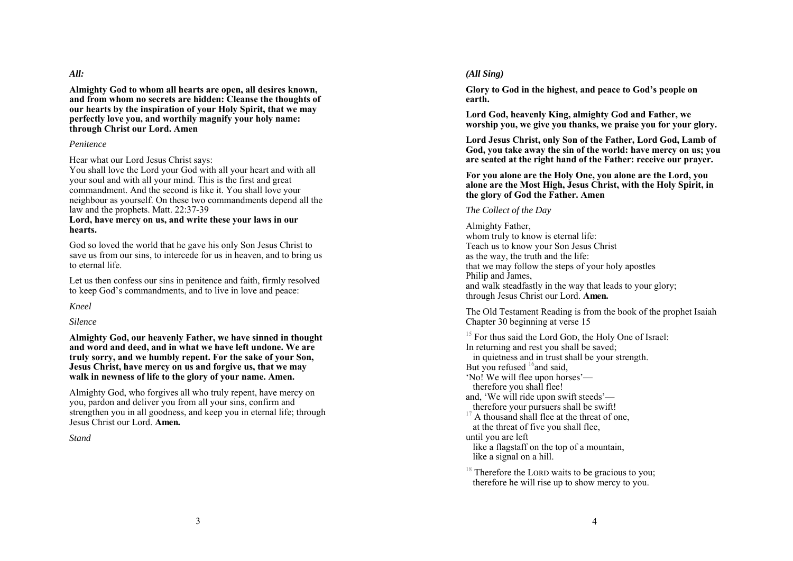*All:* 

**Almighty God to whom all hearts are open, all desires known, and from whom no secrets are hidden: Cleanse the thoughts of our hearts by the inspiration of your Holy Spirit, that we may perfectly love you, and worthily magnify your holy name: through Christ our Lord. Amen** 

# *Penitence*

Hear what our Lord Jesus Christ says:

You shall love the Lord your God with all your heart and with all your soul and with all your mind. This is the first and great commandment. And the second is like it. You shall love your neighbour as yourself. On these two commandments depend all the law and the prophets. Matt. 22:37-39

# **Lord, have mercy on us, and write these your laws in our hearts.**

God so loved the world that he gave his only Son Jesus Christ to save us from our sins, to intercede for us in heaven, and to bring us to eternal life.

Let us then confess our sins in penitence and faith, firmly resolved to keep God's commandments, and to live in love and peace:

*Kneel* 

*Silence* 

**Almighty God, our heavenly Father, we have sinned in thought and word and deed, and in what we have left undone. We are truly sorry, and we humbly repent. For the sake of your Son, Jesus Christ, have mercy on us and forgive us, that we may walk in newness of life to the glory of your name. Amen.** 

Almighty God, who forgives all who truly repent, have mercy on you, pardon and deliver you from all your sins, confirm and strengthen you in all goodness, and keep you in eternal life; through Jesus Christ our Lord. **Amen.** 

*Stand* 

# *(All Sing)*

**Glory to God in the highest, and peace to God's people on earth.** 

**Lord God, heavenly King, almighty God and Father, we worship you, we give you thanks, we praise you for your glory.** 

**Lord Jesus Christ, only Son of the Father, Lord God, Lamb of God, you take away the sin of the world: have mercy on us; you are seated at the right hand of the Father: receive our prayer.**

**For you alone are the Holy One, you alone are the Lord, you alone are the Most High, Jesus Christ, with the Holy Spirit, in the glory of God the Father. Amen**

*The Collect of the Day* 

Almighty Father, whom truly to know is eternal life: Teach us to know your Son Jesus Christ as the way, the truth and the life: that we may follow the steps of your holy apostles Philip and James, and walk steadfastly in the way that leads to your glory; through Jesus Christ our Lord. **Amen.**

The Old Testament Reading is from the book of the prophet Isaiah Chapter 30 beginning at verse 15

 $15$  For thus said the Lord God, the Holy One of Israel: In returning and rest you shall be saved; in quietness and in trust shall be your strength. But you refused  $^{16}$  and said, 'No! We will flee upon horses' therefore you shall flee! and, 'We will ride upon swift steeds' therefore your pursuers shall be swift!<br><sup>17</sup> A thousand shall flee at the threat of one, at the threat of five you shall flee, until you are left like a flagstaff on the top of a mountain, like a signal on a hill.

 $18$  Therefore the LORD waits to be gracious to you; therefore he will rise up to show mercy to you.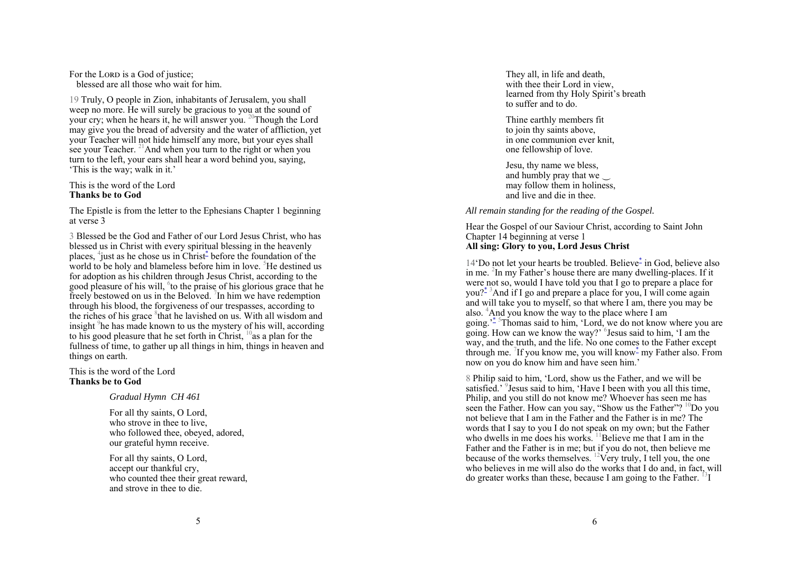For the LORD is a God of justice: blessed are all those who wait for him.

19 Truly, O people in Zion, inhabitants of Jerusalem, you shall weep no more. He will surely be gracious to you at the sound of your cry; when he hears it, he will answer you. <sup>20</sup>Though the Lord may give you the bread of adversity and the water of affliction, yet your Teacher will not hide himself any more, but your eyes shall see your Teacher.  $^{21}$ And when you turn to the right or when you turn to the left, your ears shall hear a word behind you, saying, 'This is the way; walk in it.'

## This is the word of the Lord **Thanks be to God**

The Epistle is from the letter to the Ephesians Chapter 1 beginning at verse 3

3 Blessed be the God and Father of our Lord Jesus Christ, who has blessed us in Christ with every spiritual blessing in the heavenly places,  $\frac{4}{3}$  just as he chose us in Christ<sup> $\frac{1}{2}$ </sup> before the foundation of the world to be holy and blameless before him in love.  ${}^{5}$ He destined us for adoption as his children through Jesus Christ, according to the good pleasure of his will,  $6$  to the praise of his glorious grace that he freely bestowed on us in the Beloved.  $\frac{7}{1}$ In him we have redemption through his blood, the forgiveness of our trespasses, according to the riches of his grace <sup>8</sup>that he lavished on us. With all wisdom and insight  $\delta$  he has made known to us the mystery of his will, according to his good pleasure that he set forth in Christ,  $\frac{10}{10}$  as a plan for the fullness of time, to gather up all things in him, things in heaven and things on earth.

This is the word of the Lord **Thanks be to God** 

*Gradual Hymn CH 461* 

For all thy saints, O Lord, who strove in thee to live, who followed thee, obeyed, adored, our grateful hymn receive.

For all thy saints, O Lord, accept our thankful cry, who counted thee their great reward, and strove in thee to die.

They all, in life and death, with thee their Lord in view, learned from thy Holy Spirit's breath to suffer and to do.

Thine earthly members fit to join thy saints above, in one communion ever knit, one fellowship of love.

Jesu, thy name we bless, and humbly pray that we ‿ may follow them in holiness, and live and die in thee.

*All remain standing for the reading of the Gospel.* 

Hear the Gospel of our Saviour Christ, according to Saint John Chapter 14 beginning at verse 1 **All sing: Glory to you, Lord Jesus Christ** 

14'Do not let your hearts be troubled. Believe\* in God, believe also in me. <sup>2</sup>In my Father's house there are many dwelling-places. If it were not so, would I have told you that I go to prepare a place for you?\* 3And if I go and prepare a place for you, I will come again and will take you to myself, so that where I am, there you may be also.  $4$ And you know the way to the place where I am going.<sup> $2^*$ </sup> Thomas said to him, 'Lord, we do not know where you are going. How can we know the way?' 6Jesus said to him, 'I am the way, and the truth, and the life. No one comes to the Father except through me. <sup>7</sup>If you know me, you will know  $\frac{1}{2}$  my Father also. From now on you do know him and have seen him.'

8 Philip said to him, 'Lord, show us the Father, and we will be satisfied.' <sup>9</sup> Jesus said to him, 'Have I been with you all this time, Philip, and you still do not know me? Whoever has seen me has seen the Father. How can you say, "Show us the Father"?  $10D_0$  you not believe that I am in the Father and the Father is in me? The words that I say to you I do not speak on my own; but the Father who dwells in me does his works.  $^{11}$ Believe me that I am in the Father and the Father is in me; but if you do not, then believe me because of the works themselves. <sup>12</sup>Very truly, I tell you, the one who believes in me will also do the works that I do and, in fact, will do greater works than these, because I am going to the Father.  $^{13}$ I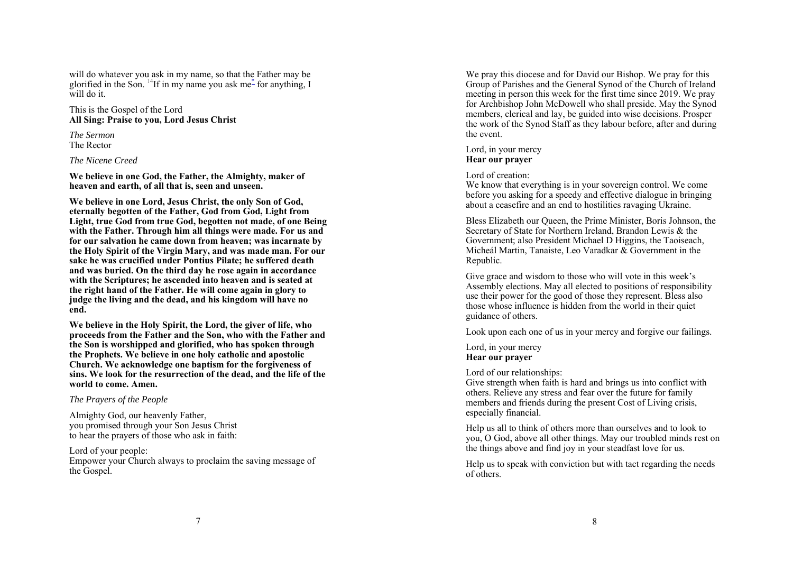will do whatever you ask in my name, so that the Father may be glorified in the Son.  $^{14}$ If in my name you ask me<sup> $\pm$ </sup> for anything, I will do it.

This is the Gospel of the Lord **All Sing: Praise to you, Lord Jesus Christ** 

*The Sermon* The Rector

## *The Nicene Creed*

**We believe in one God, the Father, the Almighty, maker of heaven and earth, of all that is, seen and unseen.** 

**We believe in one Lord, Jesus Christ, the only Son of God, eternally begotten of the Father, God from God, Light from Light, true God from true God, begotten not made, of one Being with the Father. Through him all things were made. For us and for our salvation he came down from heaven; was incarnate by the Holy Spirit of the Virgin Mary, and was made man. For our sake he was crucified under Pontius Pilate; he suffered death and was buried. On the third day he rose again in accordance with the Scriptures; he ascended into heaven and is seated at the right hand of the Father. He will come again in glory to judge the living and the dead, and his kingdom will have no end.** 

**We believe in the Holy Spirit, the Lord, the giver of life, who proceeds from the Father and the Son, who with the Father and the Son is worshipped and glorified, who has spoken through the Prophets. We believe in one holy catholic and apostolic Church. We acknowledge one baptism for the forgiveness of sins. We look for the resurrection of the dead, and the life of the world to come. Amen.** 

## *The Prayers of the People*

Almighty God, our heavenly Father, you promised through your Son Jesus Christ to hear the prayers of those who ask in faith:

Lord of your people: Empower your Church always to proclaim the saving message of the Gospel.

We pray this diocese and for David our Bishop. We pray for this Group of Parishes and the General Synod of the Church of Ireland meeting in person this week for the first time since 2019. We pray for Archbishop John McDowell who shall preside. May the Synod members, clerical and lay, be guided into wise decisions. Prosper the work of the Synod Staff as they labour before, after and during the event.

## Lord, in your mercy **Hear our prayer**

## Lord of creation:

We know that everything is in your sovereign control. We come before you asking for a speedy and effective dialogue in bringing about a ceasefire and an end to hostilities ravaging Ukraine.

Bless Elizabeth our Queen, the Prime Minister, Boris Johnson, the Secretary of State for Northern Ireland, Brandon Lewis & the Government; also President Michael D Higgins, the Taoiseach, Micheál Martin, Tanaiste, Leo Varadkar & Government in the Republic.

Give grace and wisdom to those who will vote in this week's Assembly elections. May all elected to positions of responsibility use their power for the good of those they represent. Bless also those whose influence is hidden from the world in their quiet guidance of others.

Look upon each one of us in your mercy and forgive our failings.

Lord, in your mercy **Hear our prayer** 

# Lord of our relationships:

Give strength when faith is hard and brings us into conflict with others. Relieve any stress and fear over the future for family members and friends during the present Cost of Living crisis, especially financial.

Help us all to think of others more than ourselves and to look to you, O God, above all other things. May our troubled minds rest on the things above and find joy in your steadfast love for us.

Help us to speak with conviction but with tact regarding the needs of others.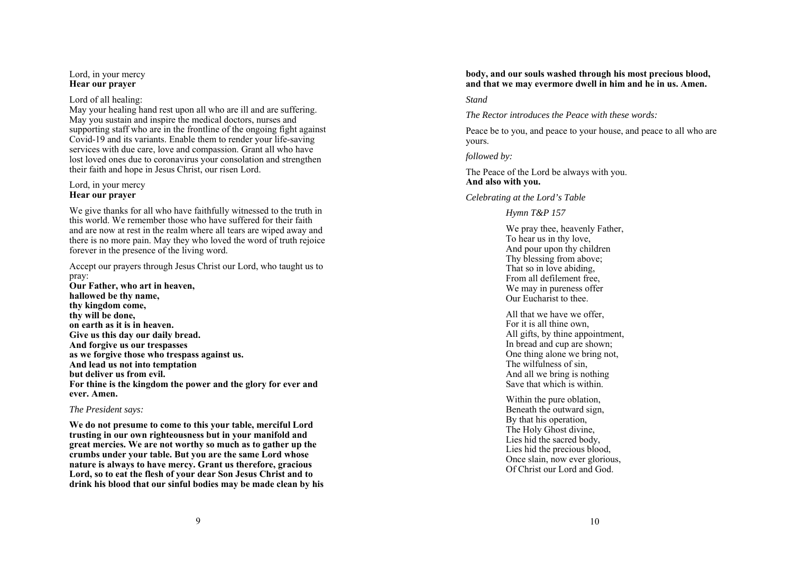## Lord, in your mercy **Hear our prayer**

## Lord of all healing:

May your healing hand rest upon all who are ill and are suffering. May you sustain and inspire the medical doctors, nurses and supporting staff who are in the frontline of the ongoing fight against Covid-19 and its variants. Enable them to render your life-saving services with due care, love and compassion. Grant all who have lost loved ones due to coronavirus your consolation and strengthen their faith and hope in Jesus Christ, our risen Lord.

#### Lord, in your mercy **Hear our prayer**

We give thanks for all who have faithfully witnessed to the truth in this world. We remember those who have suffered for their faith and are now at rest in the realm where all tears are wiped away and there is no more pain. May they who loved the word of truth rejoice forever in the presence of the living word.

Accept our prayers through Jesus Christ our Lord, who taught us to pray: **Our Father, who art in heaven, hallowed be thy name, thy kingdom come, thy will be done, on earth as it is in heaven. Give us this day our daily bread. And forgive us our trespasses as we forgive those who trespass against us. And lead us not into temptation but deliver us from evil. For thine is the kingdom the power and the glory for ever and ever. Amen.** 

## *The President says:*

**We do not presume to come to this your table, merciful Lord trusting in our own righteousness but in your manifold and great mercies. We are not worthy so much as to gather up the crumbs under your table. But you are the same Lord whose nature is always to have mercy. Grant us therefore, gracious Lord, so to eat the flesh of your dear Son Jesus Christ and to drink his blood that our sinful bodies may be made clean by his**

# **body, and our souls washed through his most precious blood, and that we may evermore dwell in him and he in us. Amen.**

# *Stand*

# *The Rector introduces the Peace with these words:*

Peace be to you, and peace to your house, and peace to all who are yours.

# *followed by:*

The Peace of the Lord be always with you. **And also with you.** 

# *Celebrating at the Lord's Table*

# *Hymn T&P 157*

We pray thee, heavenly Father, To hear us in thy love, And pour upon thy children Thy blessing from above; That so in love abiding, From all defilement free, We may in pureness offer Our Eucharist to thee.

All that we have we offer, For it is all thine own, All gifts, by thine appointment, In bread and cup are shown; One thing alone we bring not, The wilfulness of sin, And all we bring is nothing Save that which is within.

Within the pure oblation, Beneath the outward sign, By that his operation, The Holy Ghost divine, Lies hid the sacred body, Lies hid the precious blood, Once slain, now ever glorious, Of Christ our Lord and God.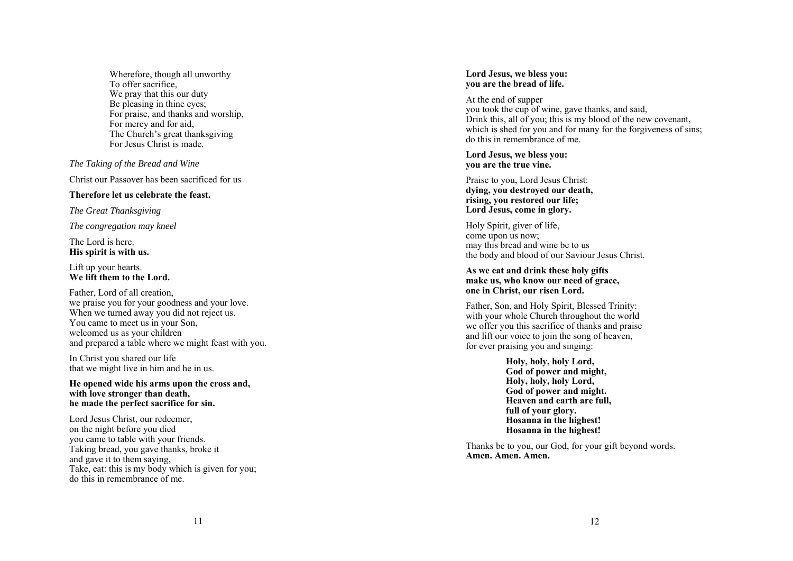Wherefore, though all unworthy To offer sacrifice, We pray that this our duty Be pleasing in thine eyes: For praise, and thanks and worship, For mercy and for aid, The Church's great thanksgiving For Jesus Christ is made.

*The Taking of the Bread and Wine* 

Christ our Passover has been sacrificed for us

#### **Therefore let us celebrate the feast.**

*The Great Thanksgiving* 

*The congregation may kneel* 

The Lord is here. **His spirit is with us.** 

Lift up your hearts. **We lift them to the Lord.** 

Father, Lord of all creation, we praise you for your goodness and your love. When we turned away you did not reject us. You came to meet us in your Son, welcomed us as your children and prepared a table where we might feast with you.

In Christ you shared our life that we might live in him and he in us.

## **He opened wide his arms upon the cross and, with love stronger than death, he made the perfect sacrifice for sin.**

Lord Jesus Christ, our redeemer, on the night before you died you came to table with your friends. Taking bread, you gave thanks, broke it and gave it to them saying, Take, eat: this is my body which is given for you; do this in remembrance of me.

**Lord Jesus, we bless you: you are the bread of life.** 

At the end of supper you took the cup of wine, gave thanks, and said, Drink this, all of you; this is my blood of the new covenant, which is shed for you and for many for the forgiveness of sins; do this in remembrance of me.

**Lord Jesus, we bless you: you are the true vine.** 

Praise to you, Lord Jesus Christ: **dying, you destroyed our death, rising, you restored our life; Lord Jesus, come in glory.** 

Holy Spirit, giver of life, come upon us now; may this bread and wine be to us the body and blood of our Saviour Jesus Christ.

#### **As we eat and drink these holy gifts make us, who know our need of grace, one in Christ, our risen Lord.**

Father, Son, and Holy Spirit, Blessed Trinity: with your whole Church throughout the world we offer you this sacrifice of thanks and praise and lift our voice to join the song of heaven, for ever praising you and singing:

> **Holy, holy, holy Lord, God of power and might, Holy, holy, holy Lord, God of power and might. Heaven and earth are full, full of your glory. Hosanna in the highest! Hosanna in the highest!**

Thanks be to you, our God, for your gift beyond words. **Amen. Amen. Amen.**